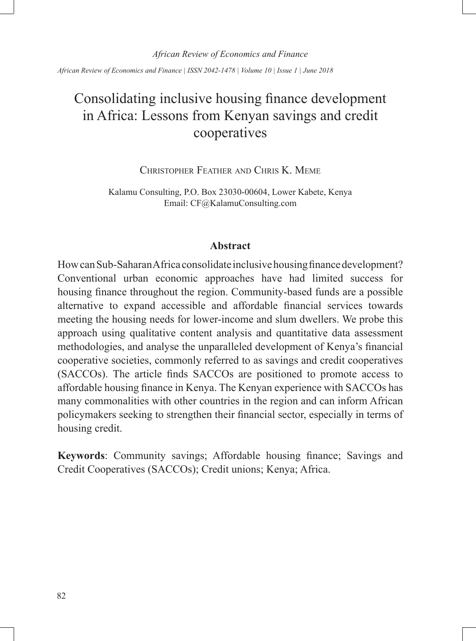*African Review of Economics and Finance | ISSN 2042-1478 | Volume 10 | Issue 1 | June 2018*

# Consolidating inclusive housing finance development in Africa: Lessons from Kenyan savings and credit cooperatives

Christopher Feather and Chris K. Meme

Kalamu Consulting, P.O. Box 23030-00604, Lower Kabete, Kenya Email: CF@KalamuConsulting.com

#### **Abstract**

How can Sub-Saharan Africa consolidate inclusive housing finance development? Conventional urban economic approaches have had limited success for housing finance throughout the region. Community-based funds are a possible alternative to expand accessible and affordable financial services towards meeting the housing needs for lower-income and slum dwellers. We probe this approach using qualitative content analysis and quantitative data assessment methodologies, and analyse the unparalleled development of Kenya's financial cooperative societies, commonly referred to as savings and credit cooperatives (SACCOs). The article finds SACCOs are positioned to promote access to affordable housing finance in Kenya. The Kenyan experience with SACCOs has many commonalities with other countries in the region and can inform African policymakers seeking to strengthen their financial sector, especially in terms of housing credit.

**Keywords**: Community savings; Affordable housing finance; Savings and Credit Cooperatives (SACCOs); Credit unions; Kenya; Africa.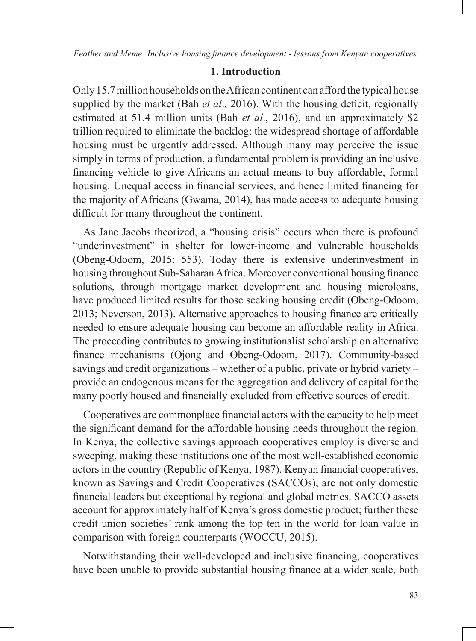# **1. Introduction**

Only 15.7 million households on the African continent can afford the typical house supplied by the market (Bah *et al*., 2016). With the housing deficit, regionally estimated at 51.4 million units (Bah *et al*., 2016), and an approximately \$2 trillion required to eliminate the backlog: the widespread shortage of affordable housing must be urgently addressed. Although many may perceive the issue simply in terms of production, a fundamental problem is providing an inclusive financing vehicle to give Africans an actual means to buy affordable, formal housing. Unequal access in financial services, and hence limited financing for the majority of Africans (Gwama, 2014), has made access to adequate housing difficult for many throughout the continent.

As Jane Jacobs theorized, a "housing crisis" occurs when there is profound "underinvestment" in shelter for lower-income and vulnerable households (Obeng-Odoom, 2015: 553). Today there is extensive underinvestment in housing throughout Sub-Saharan Africa. Moreover conventional housing finance solutions, through mortgage market development and housing microloans, have produced limited results for those seeking housing credit (Obeng-Odoom, 2013; Neverson, 2013). Alternative approaches to housing finance are critically needed to ensure adequate housing can become an affordable reality in Africa. The proceeding contributes to growing institutionalist scholarship on alternative finance mechanisms (Ojong and Obeng-Odoom, 2017). Community-based savings and credit organizations – whether of a public, private or hybrid variety – provide an endogenous means for the aggregation and delivery of capital for the many poorly housed and financially excluded from effective sources of credit.

Cooperatives are commonplace financial actors with the capacity to help meet the significant demand for the affordable housing needs throughout the region. In Kenya, the collective savings approach cooperatives employ is diverse and sweeping, making these institutions one of the most well-established economic actors in the country (Republic of Kenya, 1987). Kenyan financial cooperatives, known as Savings and Credit Cooperatives (SACCOs), are not only domestic financial leaders but exceptional by regional and global metrics. SACCO assets account for approximately half of Kenya's gross domestic product; further these credit union societies' rank among the top ten in the world for loan value in comparison with foreign counterparts (WOCCU, 2015).

Notwithstanding their well-developed and inclusive financing, cooperatives have been unable to provide substantial housing finance at a wider scale, both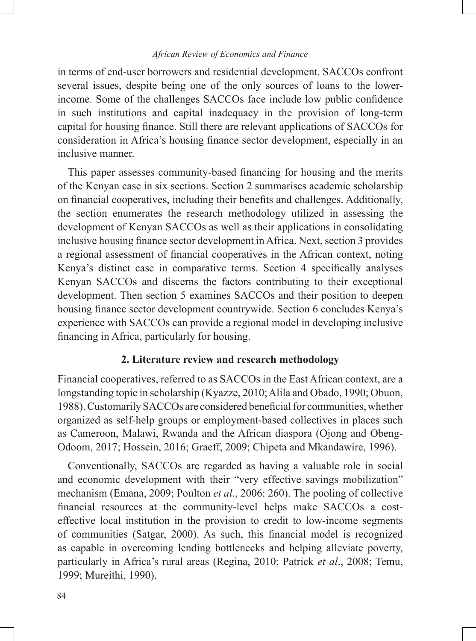in terms of end-user borrowers and residential development. SACCOs confront several issues, despite being one of the only sources of loans to the lowerincome. Some of the challenges SACCOs face include low public confidence in such institutions and capital inadequacy in the provision of long-term capital for housing finance. Still there are relevant applications of SACCOs for consideration in Africa's housing finance sector development, especially in an inclusive manner.

This paper assesses community-based financing for housing and the merits of the Kenyan case in six sections. Section 2 summarises academic scholarship on financial cooperatives, including their benefits and challenges. Additionally, the section enumerates the research methodology utilized in assessing the development of Kenyan SACCOs as well as their applications in consolidating inclusive housing finance sector development in Africa. Next, section 3 provides a regional assessment of financial cooperatives in the African context, noting Kenya's distinct case in comparative terms. Section 4 specifically analyses Kenyan SACCOs and discerns the factors contributing to their exceptional development. Then section 5 examines SACCOs and their position to deepen housing finance sector development countrywide. Section 6 concludes Kenya's experience with SACCOs can provide a regional model in developing inclusive financing in Africa, particularly for housing.

# **2. Literature review and research methodology**

Financial cooperatives, referred to as SACCOs in the East African context, are a longstanding topic in scholarship (Kyazze, 2010; Alila and Obado, 1990; Obuon, 1988). Customarily SACCOs are considered beneficial for communities, whether organized as self-help groups or employment-based collectives in places such as Cameroon, Malawi, Rwanda and the African diaspora (Ojong and Obeng-Odoom, 2017; Hossein, 2016; Graeff, 2009; Chipeta and Mkandawire, 1996).

Conventionally, SACCOs are regarded as having a valuable role in social and economic development with their "very effective savings mobilization" mechanism (Emana, 2009; Poulton *et al*., 2006: 260). The pooling of collective financial resources at the community-level helps make SACCOs a costeffective local institution in the provision to credit to low-income segments of communities (Satgar, 2000). As such, this financial model is recognized as capable in overcoming lending bottlenecks and helping alleviate poverty, particularly in Africa's rural areas (Regina, 2010; Patrick *et al*., 2008; Temu, 1999; Mureithi, 1990).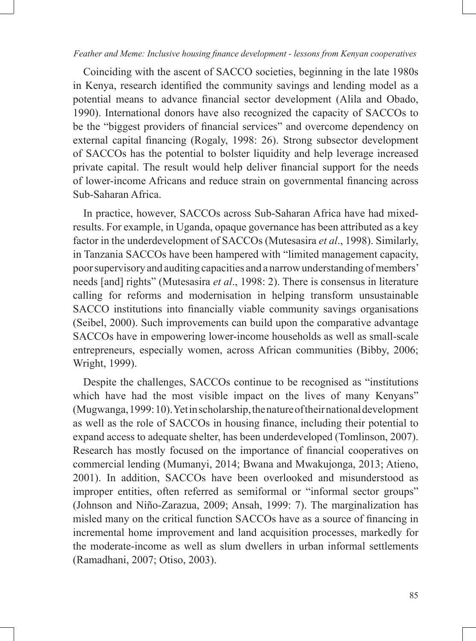Coinciding with the ascent of SACCO societies, beginning in the late 1980s in Kenya, research identified the community savings and lending model as a potential means to advance financial sector development (Alila and Obado, 1990). International donors have also recognized the capacity of SACCOs to be the "biggest providers of financial services" and overcome dependency on external capital financing (Rogaly, 1998: 26). Strong subsector development of SACCOs has the potential to bolster liquidity and help leverage increased private capital. The result would help deliver financial support for the needs of lower-income Africans and reduce strain on governmental financing across Sub-Saharan Africa.

In practice, however, SACCOs across Sub-Saharan Africa have had mixedresults. For example, in Uganda, opaque governance has been attributed as a key factor in the underdevelopment of SACCOs (Mutesasira *et al*., 1998). Similarly, in Tanzania SACCOs have been hampered with "limited management capacity, poor supervisory and auditing capacities and a narrow understanding of members' needs [and] rights" (Mutesasira *et al*., 1998: 2). There is consensus in literature calling for reforms and modernisation in helping transform unsustainable SACCO institutions into financially viable community savings organisations (Seibel, 2000). Such improvements can build upon the comparative advantage SACCOs have in empowering lower-income households as well as small-scale entrepreneurs, especially women, across African communities (Bibby, 2006; Wright, 1999).

Despite the challenges, SACCOs continue to be recognised as "institutions which have had the most visible impact on the lives of many Kenyans" (Mugwanga, 1999: 10). Yet in scholarship, the nature of their national development as well as the role of SACCOs in housing finance, including their potential to expand access to adequate shelter, has been underdeveloped (Tomlinson, 2007). Research has mostly focused on the importance of financial cooperatives on commercial lending (Mumanyi, 2014; Bwana and Mwakujonga, 2013; Atieno, 2001). In addition, SACCOs have been overlooked and misunderstood as improper entities, often referred as semiformal or "informal sector groups" (Johnson and Niño-Zarazua, 2009; Ansah, 1999: 7). The marginalization has misled many on the critical function SACCOs have as a source of financing in incremental home improvement and land acquisition processes, markedly for the moderate-income as well as slum dwellers in urban informal settlements (Ramadhani, 2007; Otiso, 2003).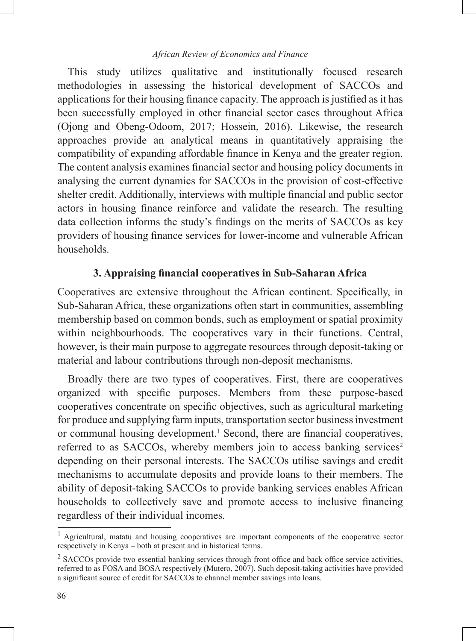This study utilizes qualitative and institutionally focused research methodologies in assessing the historical development of SACCOs and applications for their housing finance capacity. The approach is justified as it has been successfully employed in other financial sector cases throughout Africa (Ojong and Obeng-Odoom, 2017; Hossein, 2016). Likewise, the research approaches provide an analytical means in quantitatively appraising the compatibility of expanding affordable finance in Kenya and the greater region. The content analysis examines financial sector and housing policy documents in analysing the current dynamics for SACCOs in the provision of cost-effective shelter credit. Additionally, interviews with multiple financial and public sector actors in housing finance reinforce and validate the research. The resulting data collection informs the study's findings on the merits of SACCOs as key providers of housing finance services for lower-income and vulnerable African households.

# **3. Appraising financial cooperatives in Sub-Saharan Africa**

Cooperatives are extensive throughout the African continent. Specifically, in Sub-Saharan Africa, these organizations often start in communities, assembling membership based on common bonds, such as employment or spatial proximity within neighbourhoods. The cooperatives vary in their functions. Central, however, is their main purpose to aggregate resources through deposit-taking or material and labour contributions through non-deposit mechanisms.

Broadly there are two types of cooperatives. First, there are cooperatives organized with specific purposes. Members from these purpose-based cooperatives concentrate on specific objectives, such as agricultural marketing for produce and supplying farm inputs, transportation sector business investment or communal housing development.<sup>1</sup> Second, there are financial cooperatives, referred to as SACCOs, whereby members join to access banking services<sup>2</sup> depending on their personal interests. The SACCOs utilise savings and credit mechanisms to accumulate deposits and provide loans to their members. The ability of deposit-taking SACCOs to provide banking services enables African households to collectively save and promote access to inclusive financing regardless of their individual incomes.

<sup>&</sup>lt;sup>1</sup> Agricultural, matatu and housing cooperatives are important components of the cooperative sector respectively in Kenya – both at present and in historical terms.

<sup>&</sup>lt;sup>2</sup> SACCOs provide two essential banking services through front office and back office service activities, referred to as FOSA and BOSA respectively (Mutero, 2007). Such deposit-taking activities have provided a significant source of credit for SACCOs to channel member savings into loans.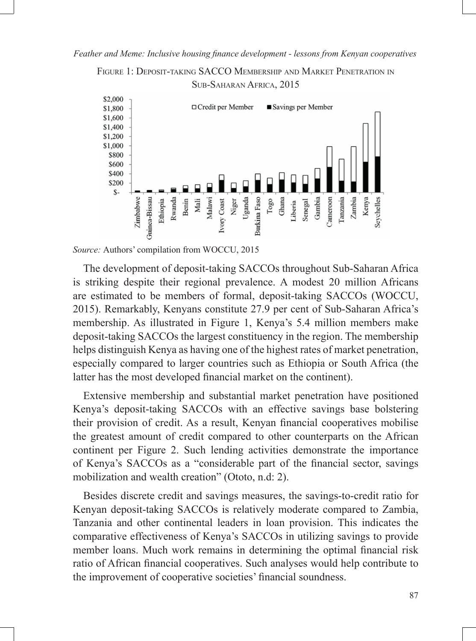FIGURE 1: DEPOSIT-TAKING SACCO MEMBERSHIP AND MARKET PENETRATION IN SUB-SAHARAN AFRICA, 2015



*Source:* Authors' compilation from WOCCU, 2015

The development of deposit-taking SACCOs throughout Sub-Saharan Africa is striking despite their regional prevalence. A modest 20 million Africans are estimated to be members of formal, deposit-taking SACCOs (WOCCU, 2015). Remarkably, Kenyans constitute 27.9 per cent of Sub-Saharan Africa's membership. As illustrated in Figure 1, Kenya's 5.4 million members make deposit-taking SACCOs the largest constituency in the region. The membership helps distinguish Kenya as having one of the highest rates of market penetration, especially compared to larger countries such as Ethiopia or South Africa (the latter has the most developed financial market on the continent).

Extensive membership and substantial market penetration have positioned Kenya's deposit-taking SACCOs with an effective savings base bolstering their provision of credit. As a result, Kenyan financial cooperatives mobilise the greatest amount of credit compared to other counterparts on the African continent per Figure 2. Such lending activities demonstrate the importance of Kenya's SACCOs as a "considerable part of the financial sector, savings mobilization and wealth creation" (Ototo, n.d: 2).

Besides discrete credit and savings measures, the savings-to-credit ratio for Kenyan deposit-taking SACCOs is relatively moderate compared to Zambia, Tanzania and other continental leaders in loan provision. This indicates the comparative effectiveness of Kenya's SACCOs in utilizing savings to provide member loans. Much work remains in determining the optimal financial risk ratio of African financial cooperatives. Such analyses would help contribute to the improvement of cooperative societies' financial soundness.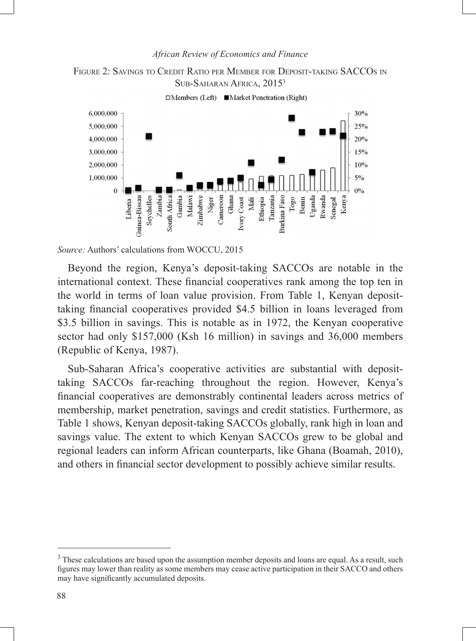



□Members (Left) ■Market Penetration (Right)

*Source:* Authors' calculations from WOCCU, 2015

Beyond the region, Kenya's deposit-taking SACCOs are notable in the international context. These financial cooperatives rank among the top ten in the world in terms of loan value provision. From Table 1, Kenyan deposittaking financial cooperatives provided \$4.5 billion in loans leveraged from \$3.5 billion in savings. This is notable as in 1972, the Kenyan cooperative sector had only \$157,000 (Ksh 16 million) in savings and 36,000 members (Republic of Kenya, 1987).

Sub-Saharan Africa's cooperative activities are substantial with deposittaking SACCOs far-reaching throughout the region. However, Kenya's financial cooperatives are demonstrably continental leaders across metrics of membership, market penetration, savings and credit statistics. Furthermore, as Table 1 shows, Kenyan deposit-taking SACCOs globally, rank high in loan and savings value. The extent to which Kenyan SACCOs grew to be global and regional leaders can inform African counterparts, like Ghana (Boamah, 2010), and others in financial sector development to possibly achieve similar results.

 $3$  These calculations are based upon the assumption member deposits and loans are equal. As a result, such figures may lower than reality as some members may cease active participation in their SACCO and others may have significantly accumulated deposits.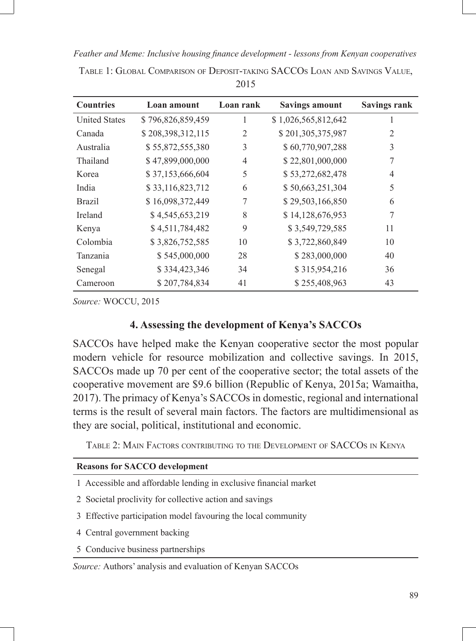| <b>Countries</b>     | Loan amount       | Loan rank      | <b>Savings amount</b> | <b>Savings rank</b> |
|----------------------|-------------------|----------------|-----------------------|---------------------|
| <b>United States</b> | \$796,826,859,459 | 1              | \$1,026,565,812,642   | J.                  |
| Canada               | \$208,398,312,115 | $\overline{2}$ | \$201,305,375,987     | 2                   |
| Australia            | \$55,872,555,380  | 3              | \$60,770,907,288      | 3                   |
| Thailand             | \$47,899,000,000  | 4              | \$22,801,000,000      | 7                   |
| Korea                | \$37,153,666,604  | 5              | \$53,272,682,478      | 4                   |
| India                | \$33,116,823,712  | 6              | \$50,663,251,304      | 5                   |
| <b>Brazil</b>        | \$16,098,372,449  | 7              | \$29,503,166,850      | 6                   |
| <b>Ireland</b>       | \$4,545,653,219   | 8              | \$14,128,676,953      | 7                   |
| Kenya                | \$4,511,784,482   | 9              | \$3,549,729,585       | 11                  |
| Colombia             | \$3,826,752,585   | 10             | \$3,722,860,849       | 10                  |
| <b>Tanzania</b>      | \$545,000,000     | 28             | \$283,000,000         | 40                  |
| Senegal              | \$334,423,346     | 34             | \$315,954,216         | 36                  |
| Cameroon             | \$207,784,834     | 41             | \$255,408,963         | 43                  |

Table 1: Global Comparison of Deposit-taking SACCOs Loan and Savings Value, 2015

*Source:* WOCCU, 2015

# **4. Assessing the development of Kenya's SACCOs**

SACCOs have helped make the Kenyan cooperative sector the most popular modern vehicle for resource mobilization and collective savings. In 2015, SACCOs made up 70 per cent of the cooperative sector; the total assets of the cooperative movement are \$9.6 billion (Republic of Kenya, 2015a; Wamaitha, 2017). The primacy of Kenya's SACCOs in domestic, regional and international terms is the result of several main factors. The factors are multidimensional as they are social, political, institutional and economic.

Table 2: Main Factors contributing to the Development of SACCOs in Kenya

#### **Reasons for SACCO development**

- 1 Accessible and affordable lending in exclusive financial market
- 2 Societal proclivity for collective action and savings
- 3 Effective participation model favouring the local community
- 4 Central government backing
- 5 Conducive business partnerships

*Source:* Authors' analysis and evaluation of Kenyan SACCOs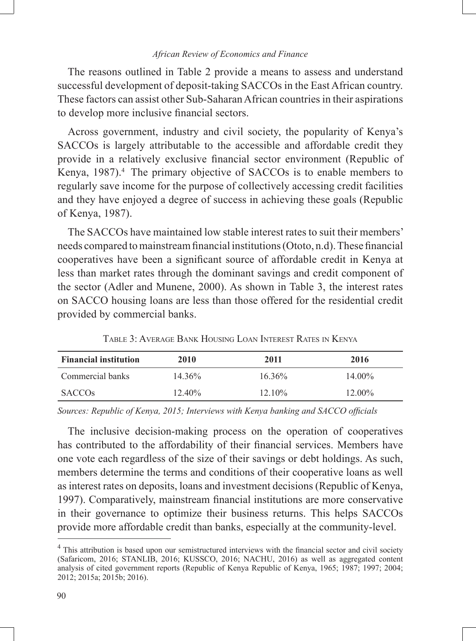The reasons outlined in Table 2 provide a means to assess and understand successful development of deposit-taking SACCOs in the East African country. These factors can assist other Sub-Saharan African countries in their aspirations to develop more inclusive financial sectors.

Across government, industry and civil society, the popularity of Kenya's SACCOs is largely attributable to the accessible and affordable credit they provide in a relatively exclusive financial sector environment (Republic of Kenya, 1987).<sup>4</sup> The primary objective of SACCOs is to enable members to regularly save income for the purpose of collectively accessing credit facilities and they have enjoyed a degree of success in achieving these goals (Republic of Kenya, 1987).

The SACCOs have maintained low stable interest rates to suit their members' needs compared to mainstream financial institutions (Ototo, n.d). These financial cooperatives have been a significant source of affordable credit in Kenya at less than market rates through the dominant savings and credit component of the sector (Adler and Munene, 2000). As shown in Table 3, the interest rates on SACCO housing loans are less than those offered for the residential credit provided by commercial banks.

| <b>Financial institution</b> | 2010      | 2011      | 2016      |
|------------------------------|-----------|-----------|-----------|
| Commercial banks             | $14.36\%$ | $16.36\%$ | $14.00\%$ |
| <b>SACCOS</b>                | $12.40\%$ | $12.10\%$ | $12.00\%$ |

Table 3: Average Bank Housing Loan Interest Rates in Kenya

*Sources: Republic of Kenya, 2015; Interviews with Kenya banking and SACCO officials*

The inclusive decision-making process on the operation of cooperatives has contributed to the affordability of their financial services. Members have one vote each regardless of the size of their savings or debt holdings. As such, members determine the terms and conditions of their cooperative loans as well as interest rates on deposits, loans and investment decisions (Republic of Kenya, 1997). Comparatively, mainstream financial institutions are more conservative in their governance to optimize their business returns. This helps SACCOs provide more affordable credit than banks, especially at the community-level.

<sup>&</sup>lt;sup>4</sup> This attribution is based upon our semistructured interviews with the financial sector and civil society (Safaricom, 2016; STANLIB, 2016; KUSSCO, 2016; NACHU, 2016) as well as aggregated content analysis of cited government reports (Republic of Kenya Republic of Kenya, 1965; 1987; 1997; 2004; 2012; 2015a; 2015b; 2016).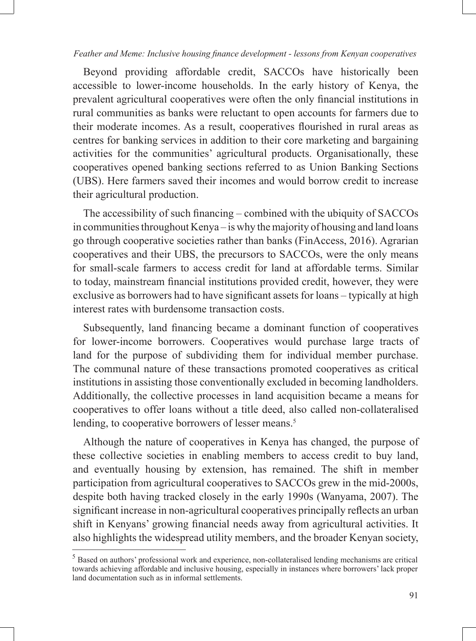Beyond providing affordable credit, SACCOs have historically been accessible to lower-income households. In the early history of Kenya, the prevalent agricultural cooperatives were often the only financial institutions in rural communities as banks were reluctant to open accounts for farmers due to their moderate incomes. As a result, cooperatives flourished in rural areas as centres for banking services in addition to their core marketing and bargaining activities for the communities' agricultural products. Organisationally, these cooperatives opened banking sections referred to as Union Banking Sections (UBS). Here farmers saved their incomes and would borrow credit to increase their agricultural production.

The accessibility of such financing – combined with the ubiquity of SACCOs in communities throughout Kenya – is why the majority of housing and land loans go through cooperative societies rather than banks (FinAccess, 2016). Agrarian cooperatives and their UBS, the precursors to SACCOs, were the only means for small-scale farmers to access credit for land at affordable terms. Similar to today, mainstream financial institutions provided credit, however, they were exclusive as borrowers had to have significant assets for loans – typically at high interest rates with burdensome transaction costs.

Subsequently, land financing became a dominant function of cooperatives for lower-income borrowers. Cooperatives would purchase large tracts of land for the purpose of subdividing them for individual member purchase. The communal nature of these transactions promoted cooperatives as critical institutions in assisting those conventionally excluded in becoming landholders. Additionally, the collective processes in land acquisition became a means for cooperatives to offer loans without a title deed, also called non-collateralised lending, to cooperative borrowers of lesser means.<sup>5</sup>

Although the nature of cooperatives in Kenya has changed, the purpose of these collective societies in enabling members to access credit to buy land, and eventually housing by extension, has remained. The shift in member participation from agricultural cooperatives to SACCOs grew in the mid-2000s, despite both having tracked closely in the early 1990s (Wanyama, 2007). The significant increase in non-agricultural cooperatives principally reflects an urban shift in Kenyans' growing financial needs away from agricultural activities. It also highlights the widespread utility members, and the broader Kenyan society,

<sup>&</sup>lt;sup>5</sup> Based on authors' professional work and experience, non-collateralised lending mechanisms are critical towards achieving affordable and inclusive housing, especially in instances where borrowers' lack proper land documentation such as in informal settlements.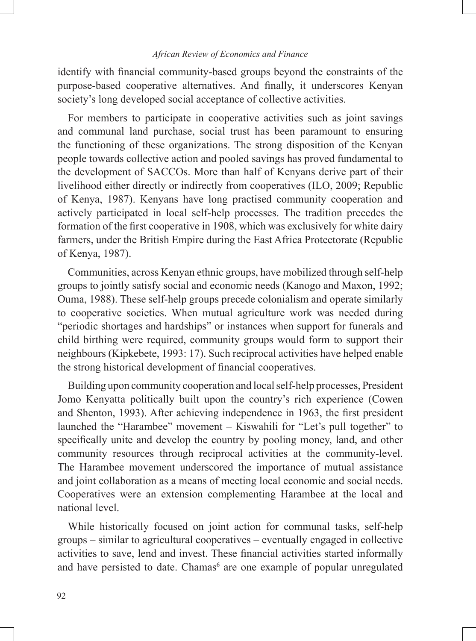identify with financial community-based groups beyond the constraints of the purpose-based cooperative alternatives. And finally, it underscores Kenyan society's long developed social acceptance of collective activities.

For members to participate in cooperative activities such as joint savings and communal land purchase, social trust has been paramount to ensuring the functioning of these organizations. The strong disposition of the Kenyan people towards collective action and pooled savings has proved fundamental to the development of SACCOs. More than half of Kenyans derive part of their livelihood either directly or indirectly from cooperatives (ILO, 2009; Republic of Kenya, 1987). Kenyans have long practised community cooperation and actively participated in local self-help processes. The tradition precedes the formation of the first cooperative in 1908, which was exclusively for white dairy farmers, under the British Empire during the East Africa Protectorate (Republic of Kenya, 1987).

Communities, across Kenyan ethnic groups, have mobilized through self-help groups to jointly satisfy social and economic needs (Kanogo and Maxon, 1992; Ouma, 1988). These self-help groups precede colonialism and operate similarly to cooperative societies. When mutual agriculture work was needed during "periodic shortages and hardships" or instances when support for funerals and child birthing were required, community groups would form to support their neighbours (Kipkebete, 1993: 17). Such reciprocal activities have helped enable the strong historical development of financial cooperatives.

Building upon community cooperation and local self-help processes, President Jomo Kenyatta politically built upon the country's rich experience (Cowen and Shenton, 1993). After achieving independence in 1963, the first president launched the "Harambee" movement – Kiswahili for "Let's pull together" to specifically unite and develop the country by pooling money, land, and other community resources through reciprocal activities at the community-level. The Harambee movement underscored the importance of mutual assistance and joint collaboration as a means of meeting local economic and social needs. Cooperatives were an extension complementing Harambee at the local and national level.

While historically focused on joint action for communal tasks, self-help groups – similar to agricultural cooperatives – eventually engaged in collective activities to save, lend and invest. These financial activities started informally and have persisted to date. Chamas<sup>6</sup> are one example of popular unregulated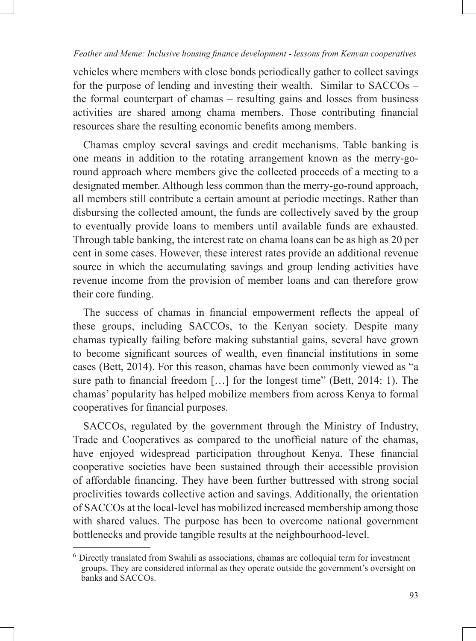vehicles where members with close bonds periodically gather to collect savings for the purpose of lending and investing their wealth. Similar to SACCOs – the formal counterpart of chamas – resulting gains and losses from business activities are shared among chama members. Those contributing financial resources share the resulting economic benefits among members.

Chamas employ several savings and credit mechanisms. Table banking is one means in addition to the rotating arrangement known as the merry-goround approach where members give the collected proceeds of a meeting to a designated member. Although less common than the merry-go-round approach, all members still contribute a certain amount at periodic meetings. Rather than disbursing the collected amount, the funds are collectively saved by the group to eventually provide loans to members until available funds are exhausted. Through table banking, the interest rate on chama loans can be as high as 20 per cent in some cases. However, these interest rates provide an additional revenue source in which the accumulating savings and group lending activities have revenue income from the provision of member loans and can therefore grow their core funding.

The success of chamas in financial empowerment reflects the appeal of these groups, including SACCOs, to the Kenyan society. Despite many chamas typically failing before making substantial gains, several have grown to become significant sources of wealth, even financial institutions in some cases (Bett, 2014). For this reason, chamas have been commonly viewed as "a sure path to financial freedom […] for the longest time" (Bett, 2014: 1). The chamas' popularity has helped mobilize members from across Kenya to formal cooperatives for financial purposes.

SACCOs, regulated by the government through the Ministry of Industry, Trade and Cooperatives as compared to the unofficial nature of the chamas, have enjoyed widespread participation throughout Kenya. These financial cooperative societies have been sustained through their accessible provision of affordable financing. They have been further buttressed with strong social proclivities towards collective action and savings. Additionally, the orientation of SACCOs at the local-level has mobilized increased membership among those with shared values. The purpose has been to overcome national government bottlenecks and provide tangible results at the neighbourhood-level.

<sup>6</sup> Directly translated from Swahili as associations, chamas are colloquial term for investment groups. They are considered informal as they operate outside the government's oversight on banks and SACCOs.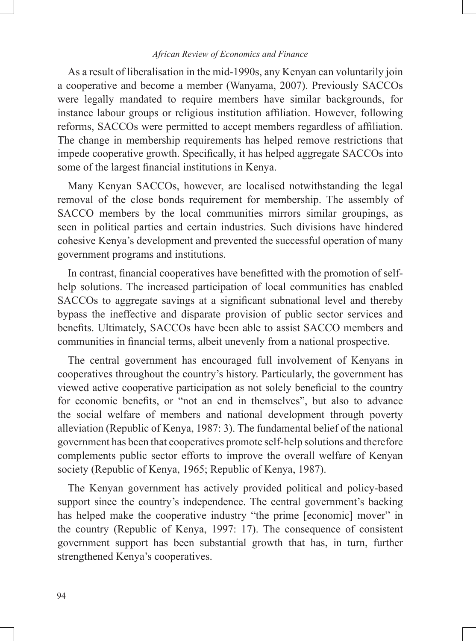As a result of liberalisation in the mid-1990s, any Kenyan can voluntarily join a cooperative and become a member (Wanyama, 2007). Previously SACCOs were legally mandated to require members have similar backgrounds, for instance labour groups or religious institution affiliation. However, following reforms, SACCOs were permitted to accept members regardless of affiliation. The change in membership requirements has helped remove restrictions that impede cooperative growth. Specifically, it has helped aggregate SACCOs into some of the largest financial institutions in Kenya.

Many Kenyan SACCOs, however, are localised notwithstanding the legal removal of the close bonds requirement for membership. The assembly of SACCO members by the local communities mirrors similar groupings, as seen in political parties and certain industries. Such divisions have hindered cohesive Kenya's development and prevented the successful operation of many government programs and institutions.

In contrast, financial cooperatives have benefitted with the promotion of selfhelp solutions. The increased participation of local communities has enabled SACCOs to aggregate savings at a significant subnational level and thereby bypass the ineffective and disparate provision of public sector services and benefits. Ultimately, SACCOs have been able to assist SACCO members and communities in financial terms, albeit unevenly from a national prospective.

The central government has encouraged full involvement of Kenyans in cooperatives throughout the country's history. Particularly, the government has viewed active cooperative participation as not solely beneficial to the country for economic benefits, or "not an end in themselves", but also to advance the social welfare of members and national development through poverty alleviation (Republic of Kenya, 1987: 3). The fundamental belief of the national government has been that cooperatives promote self-help solutions and therefore complements public sector efforts to improve the overall welfare of Kenyan society (Republic of Kenya, 1965; Republic of Kenya, 1987).

The Kenyan government has actively provided political and policy-based support since the country's independence. The central government's backing has helped make the cooperative industry "the prime [economic] mover" in the country (Republic of Kenya, 1997: 17). The consequence of consistent government support has been substantial growth that has, in turn, further strengthened Kenya's cooperatives.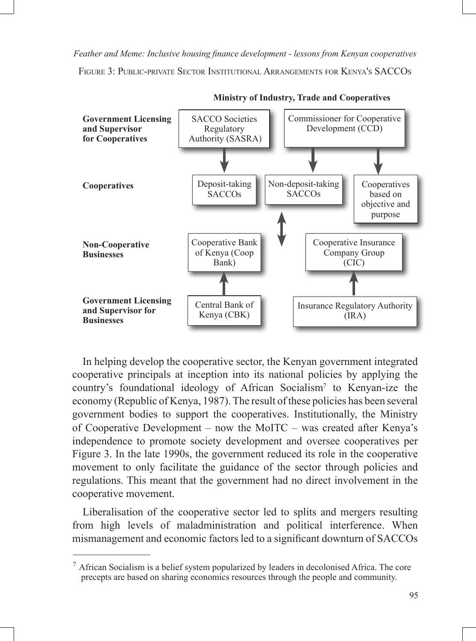FIGURE 3: PUBLIC-PRIVATE SECTOR INSTITUTIONAL ARRANGEMENTS FOR KENYA'S SACCOS



**Ministry of Industry, Trade and Cooperatives**

In helping develop the cooperative sector, the Kenyan government integrated cooperative principals at inception into its national policies by applying the country's foundational ideology of African Socialism7 to Kenyan-ize the economy (Republic of Kenya, 1987). The result of these policies has been several government bodies to support the cooperatives. Institutionally, the Ministry of Cooperative Development – now the MoITC – was created after Kenya's independence to promote society development and oversee cooperatives per Figure 3. In the late 1990s, the government reduced its role in the cooperative movement to only facilitate the guidance of the sector through policies and regulations. This meant that the government had no direct involvement in the cooperative movement.

Liberalisation of the cooperative sector led to splits and mergers resulting from high levels of maladministration and political interference. When mismanagement and economic factors led to a significant downturn of SACCOs

 $<sup>7</sup>$  African Socialism is a belief system popularized by leaders in decolonised Africa. The core</sup> precepts are based on sharing economics resources through the people and community.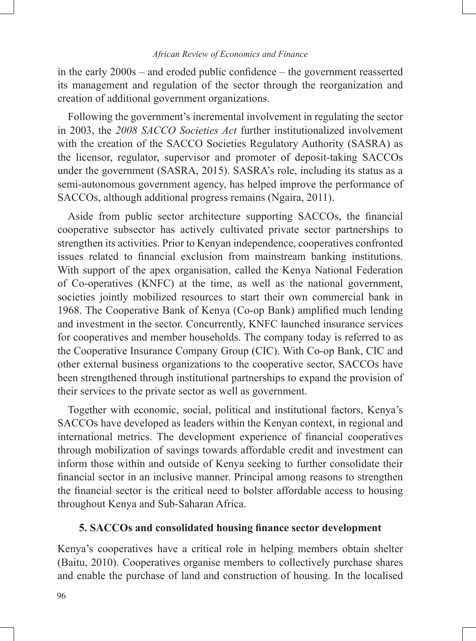in the early 2000s – and eroded public confidence – the government reasserted its management and regulation of the sector through the reorganization and creation of additional government organizations.

Following the government's incremental involvement in regulating the sector in 2003, the *2008 SACCO Societies Act* further institutionalized involvement with the creation of the SACCO Societies Regulatory Authority (SASRA) as the licensor, regulator, supervisor and promoter of deposit-taking SACCOs under the government (SASRA, 2015). SASRA's role, including its status as a semi-autonomous government agency, has helped improve the performance of SACCOs, although additional progress remains (Ngaira, 2011).

Aside from public sector architecture supporting SACCOs, the financial cooperative subsector has actively cultivated private sector partnerships to strengthen its activities. Prior to Kenyan independence, cooperatives confronted issues related to financial exclusion from mainstream banking institutions. With support of the apex organisation, called the Kenya National Federation of Co-operatives (KNFC) at the time, as well as the national government, societies jointly mobilized resources to start their own commercial bank in 1968. The Cooperative Bank of Kenya (Co-op Bank) amplified much lending and investment in the sector. Concurrently, KNFC launched insurance services for cooperatives and member households. The company today is referred to as the Cooperative Insurance Company Group (CIC). With Co-op Bank, CIC and other external business organizations to the cooperative sector, SACCOs have been strengthened through institutional partnerships to expand the provision of their services to the private sector as well as government.

Together with economic, social, political and institutional factors, Kenya's SACCOs have developed as leaders within the Kenyan context, in regional and international metrics. The development experience of financial cooperatives through mobilization of savings towards affordable credit and investment can inform those within and outside of Kenya seeking to further consolidate their financial sector in an inclusive manner. Principal among reasons to strengthen the financial sector is the critical need to bolster affordable access to housing throughout Kenya and Sub-Saharan Africa.

## **5. SACCOs and consolidated housing finance sector development**

Kenya's cooperatives have a critical role in helping members obtain shelter (Baitu, 2010). Cooperatives organise members to collectively purchase shares and enable the purchase of land and construction of housing. In the localised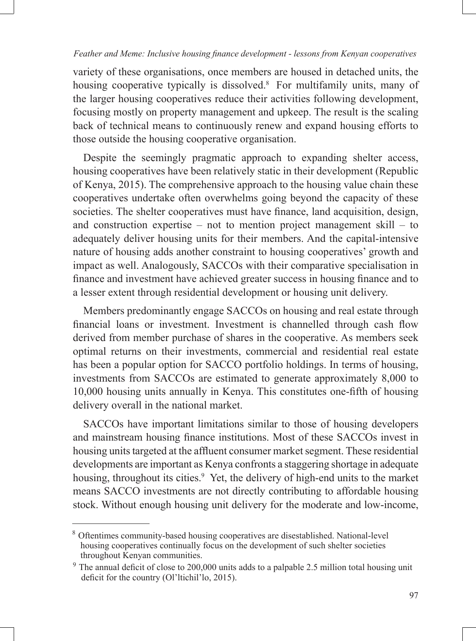variety of these organisations, once members are housed in detached units, the housing cooperative typically is dissolved.<sup>8</sup> For multifamily units, many of the larger housing cooperatives reduce their activities following development, focusing mostly on property management and upkeep. The result is the scaling back of technical means to continuously renew and expand housing efforts to those outside the housing cooperative organisation.

Despite the seemingly pragmatic approach to expanding shelter access, housing cooperatives have been relatively static in their development (Republic of Kenya, 2015). The comprehensive approach to the housing value chain these cooperatives undertake often overwhelms going beyond the capacity of these societies. The shelter cooperatives must have finance, land acquisition, design, and construction expertise – not to mention project management skill – to adequately deliver housing units for their members. And the capital-intensive nature of housing adds another constraint to housing cooperatives' growth and impact as well. Analogously, SACCOs with their comparative specialisation in finance and investment have achieved greater success in housing finance and to a lesser extent through residential development or housing unit delivery.

Members predominantly engage SACCOs on housing and real estate through financial loans or investment. Investment is channelled through cash flow derived from member purchase of shares in the cooperative. As members seek optimal returns on their investments, commercial and residential real estate has been a popular option for SACCO portfolio holdings. In terms of housing, investments from SACCOs are estimated to generate approximately 8,000 to 10,000 housing units annually in Kenya. This constitutes one-fifth of housing delivery overall in the national market.

SACCOs have important limitations similar to those of housing developers and mainstream housing finance institutions. Most of these SACCOs invest in housing units targeted at the affluent consumer market segment. These residential developments are important as Kenya confronts a staggering shortage in adequate housing, throughout its cities.<sup>9</sup> Yet, the delivery of high-end units to the market means SACCO investments are not directly contributing to affordable housing stock. Without enough housing unit delivery for the moderate and low-income,

<sup>8</sup> Oftentimes community-based housing cooperatives are disestablished. National-level housing cooperatives continually focus on the development of such shelter societies throughout Kenyan communities.

<sup>&</sup>lt;sup>9</sup> The annual deficit of close to 200,000 units adds to a palpable 2.5 million total housing unit deficit for the country (Ol'ltichil'lo, 2015).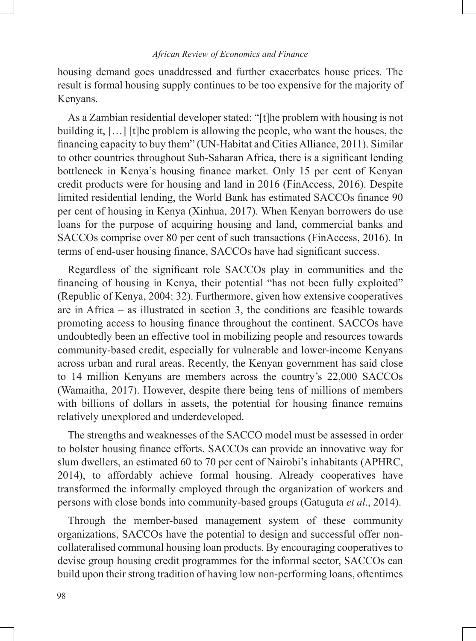housing demand goes unaddressed and further exacerbates house prices. The result is formal housing supply continues to be too expensive for the majority of Kenyans.

As a Zambian residential developer stated: "[t]he problem with housing is not building it, […] [t]he problem is allowing the people, who want the houses, the financing capacity to buy them" (UN-Habitat and Cities Alliance, 2011). Similar to other countries throughout Sub-Saharan Africa, there is a significant lending bottleneck in Kenya's housing finance market. Only 15 per cent of Kenyan credit products were for housing and land in 2016 (FinAccess, 2016). Despite limited residential lending, the World Bank has estimated SACCOs finance 90 per cent of housing in Kenya (Xinhua, 2017). When Kenyan borrowers do use loans for the purpose of acquiring housing and land, commercial banks and SACCOs comprise over 80 per cent of such transactions (FinAccess, 2016). In terms of end-user housing finance, SACCOs have had significant success.

Regardless of the significant role SACCOs play in communities and the financing of housing in Kenya, their potential "has not been fully exploited" (Republic of Kenya, 2004: 32). Furthermore, given how extensive cooperatives are in Africa – as illustrated in section 3, the conditions are feasible towards promoting access to housing finance throughout the continent. SACCOs have undoubtedly been an effective tool in mobilizing people and resources towards community-based credit, especially for vulnerable and lower-income Kenyans across urban and rural areas. Recently, the Kenyan government has said close to 14 million Kenyans are members across the country's 22,000 SACCOs (Wamaitha, 2017). However, despite there being tens of millions of members with billions of dollars in assets, the potential for housing finance remains relatively unexplored and underdeveloped.

The strengths and weaknesses of the SACCO model must be assessed in order to bolster housing finance efforts. SACCOs can provide an innovative way for slum dwellers, an estimated 60 to 70 per cent of Nairobi's inhabitants (APHRC, 2014), to affordably achieve formal housing. Already cooperatives have transformed the informally employed through the organization of workers and persons with close bonds into community-based groups (Gatuguta *et al*., 2014).

Through the member-based management system of these community organizations, SACCOs have the potential to design and successful offer noncollateralised communal housing loan products. By encouraging cooperatives to devise group housing credit programmes for the informal sector, SACCOs can build upon their strong tradition of having low non-performing loans, oftentimes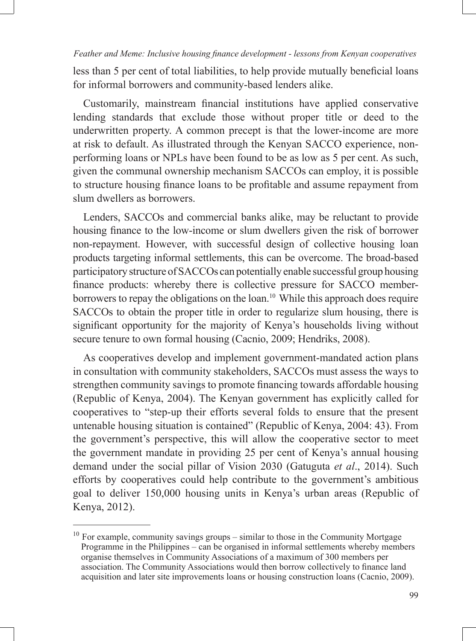less than 5 per cent of total liabilities, to help provide mutually beneficial loans for informal borrowers and community-based lenders alike.

Customarily, mainstream financial institutions have applied conservative lending standards that exclude those without proper title or deed to the underwritten property. A common precept is that the lower-income are more at risk to default. As illustrated through the Kenyan SACCO experience, nonperforming loans or NPLs have been found to be as low as 5 per cent. As such, given the communal ownership mechanism SACCOs can employ, it is possible to structure housing finance loans to be profitable and assume repayment from slum dwellers as borrowers.

Lenders, SACCOs and commercial banks alike, may be reluctant to provide housing finance to the low-income or slum dwellers given the risk of borrower non-repayment. However, with successful design of collective housing loan products targeting informal settlements, this can be overcome. The broad-based participatory structure of SACCOs can potentially enable successful group housing finance products: whereby there is collective pressure for SACCO memberborrowers to repay the obligations on the loan.<sup>10</sup> While this approach does require SACCOs to obtain the proper title in order to regularize slum housing, there is significant opportunity for the majority of Kenya's households living without secure tenure to own formal housing (Cacnio, 2009; Hendriks, 2008).

As cooperatives develop and implement government-mandated action plans in consultation with community stakeholders, SACCOs must assess the ways to strengthen community savings to promote financing towards affordable housing (Republic of Kenya, 2004). The Kenyan government has explicitly called for cooperatives to "step-up their efforts several folds to ensure that the present untenable housing situation is contained" (Republic of Kenya, 2004: 43). From the government's perspective, this will allow the cooperative sector to meet the government mandate in providing 25 per cent of Kenya's annual housing demand under the social pillar of Vision 2030 (Gatuguta *et al*., 2014). Such efforts by cooperatives could help contribute to the government's ambitious goal to deliver 150,000 housing units in Kenya's urban areas (Republic of Kenya, 2012).

 $10$  For example, community savings groups – similar to those in the Community Mortgage Programme in the Philippines – can be organised in informal settlements whereby members organise themselves in Community Associations of a maximum of 300 members per association. The Community Associations would then borrow collectively to finance land acquisition and later site improvements loans or housing construction loans (Cacnio, 2009).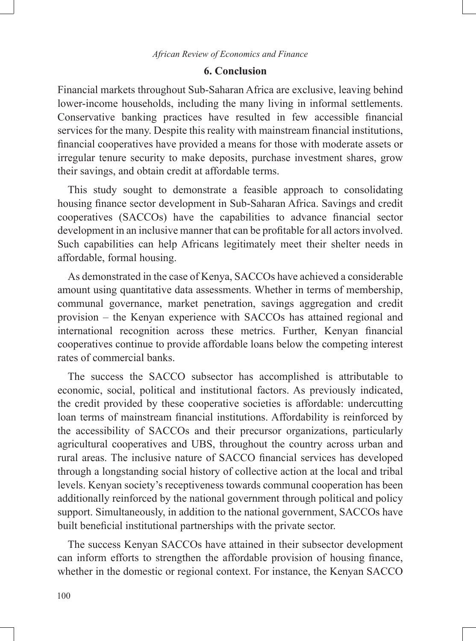# **6. Conclusion**

Financial markets throughout Sub-Saharan Africa are exclusive, leaving behind lower-income households, including the many living in informal settlements. Conservative banking practices have resulted in few accessible financial services for the many. Despite this reality with mainstream financial institutions, financial cooperatives have provided a means for those with moderate assets or irregular tenure security to make deposits, purchase investment shares, grow their savings, and obtain credit at affordable terms.

This study sought to demonstrate a feasible approach to consolidating housing finance sector development in Sub-Saharan Africa. Savings and credit cooperatives (SACCOs) have the capabilities to advance financial sector development in an inclusive manner that can be profitable for all actors involved. Such capabilities can help Africans legitimately meet their shelter needs in affordable, formal housing.

As demonstrated in the case of Kenya, SACCOs have achieved a considerable amount using quantitative data assessments. Whether in terms of membership, communal governance, market penetration, savings aggregation and credit provision – the Kenyan experience with SACCOs has attained regional and international recognition across these metrics. Further, Kenyan financial cooperatives continue to provide affordable loans below the competing interest rates of commercial banks.

The success the SACCO subsector has accomplished is attributable to economic, social, political and institutional factors. As previously indicated, the credit provided by these cooperative societies is affordable: undercutting loan terms of mainstream financial institutions. Affordability is reinforced by the accessibility of SACCOs and their precursor organizations, particularly agricultural cooperatives and UBS, throughout the country across urban and rural areas. The inclusive nature of SACCO financial services has developed through a longstanding social history of collective action at the local and tribal levels. Kenyan society's receptiveness towards communal cooperation has been additionally reinforced by the national government through political and policy support. Simultaneously, in addition to the national government, SACCOs have built beneficial institutional partnerships with the private sector.

The success Kenyan SACCOs have attained in their subsector development can inform efforts to strengthen the affordable provision of housing finance, whether in the domestic or regional context. For instance, the Kenyan SACCO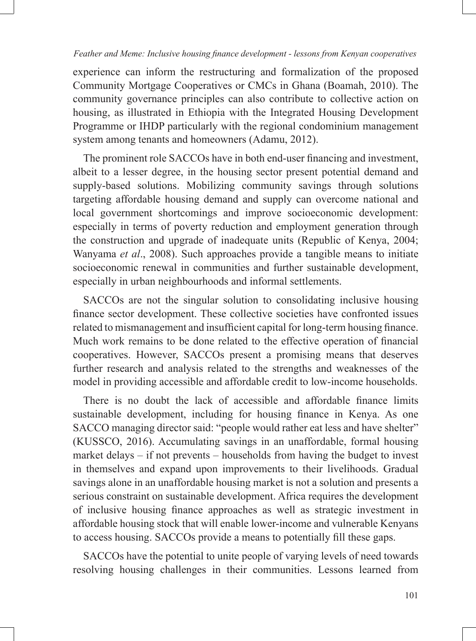experience can inform the restructuring and formalization of the proposed Community Mortgage Cooperatives or CMCs in Ghana (Boamah, 2010). The community governance principles can also contribute to collective action on housing, as illustrated in Ethiopia with the Integrated Housing Development Programme or IHDP particularly with the regional condominium management system among tenants and homeowners (Adamu, 2012).

The prominent role SACCOs have in both end-user financing and investment, albeit to a lesser degree, in the housing sector present potential demand and supply-based solutions. Mobilizing community savings through solutions targeting affordable housing demand and supply can overcome national and local government shortcomings and improve socioeconomic development: especially in terms of poverty reduction and employment generation through the construction and upgrade of inadequate units (Republic of Kenya, 2004; Wanyama *et al*., 2008). Such approaches provide a tangible means to initiate socioeconomic renewal in communities and further sustainable development, especially in urban neighbourhoods and informal settlements.

SACCOs are not the singular solution to consolidating inclusive housing finance sector development. These collective societies have confronted issues related to mismanagement and insufficient capital for long-term housing finance. Much work remains to be done related to the effective operation of financial cooperatives. However, SACCOs present a promising means that deserves further research and analysis related to the strengths and weaknesses of the model in providing accessible and affordable credit to low-income households.

There is no doubt the lack of accessible and affordable finance limits sustainable development, including for housing finance in Kenya. As one SACCO managing director said: "people would rather eat less and have shelter" (KUSSCO, 2016). Accumulating savings in an unaffordable, formal housing market delays – if not prevents – households from having the budget to invest in themselves and expand upon improvements to their livelihoods. Gradual savings alone in an unaffordable housing market is not a solution and presents a serious constraint on sustainable development. Africa requires the development of inclusive housing finance approaches as well as strategic investment in affordable housing stock that will enable lower-income and vulnerable Kenyans to access housing. SACCOs provide a means to potentially fill these gaps.

SACCOs have the potential to unite people of varying levels of need towards resolving housing challenges in their communities. Lessons learned from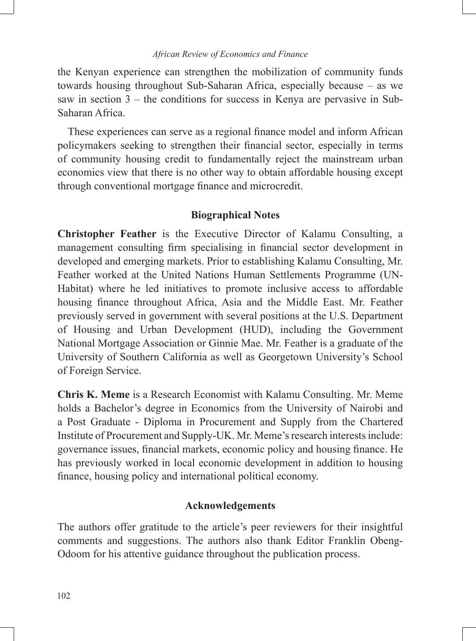the Kenyan experience can strengthen the mobilization of community funds towards housing throughout Sub-Saharan Africa, especially because – as we saw in section 3 – the conditions for success in Kenya are pervasive in Sub-Saharan Africa.

These experiences can serve as a regional finance model and inform African policymakers seeking to strengthen their financial sector, especially in terms of community housing credit to fundamentally reject the mainstream urban economics view that there is no other way to obtain affordable housing except through conventional mortgage finance and microcredit.

## **Biographical Notes**

**Christopher Feather** is the Executive Director of Kalamu Consulting, a management consulting firm specialising in financial sector development in developed and emerging markets. Prior to establishing Kalamu Consulting, Mr. Feather worked at the United Nations Human Settlements Programme (UN-Habitat) where he led initiatives to promote inclusive access to affordable housing finance throughout Africa, Asia and the Middle East. Mr. Feather previously served in government with several positions at the U.S. Department of Housing and Urban Development (HUD), including the Government National Mortgage Association or Ginnie Mae. Mr. Feather is a graduate of the University of Southern California as well as Georgetown University's School of Foreign Service.

**Chris K. Meme** is a Research Economist with Kalamu Consulting. Mr. Meme holds a Bachelor's degree in Economics from the University of Nairobi and a Post Graduate - Diploma in Procurement and Supply from the Chartered Institute of Procurement and Supply-UK. Mr. Meme's research interests include: governance issues, financial markets, economic policy and housing finance. He has previously worked in local economic development in addition to housing finance, housing policy and international political economy.

# **Acknowledgements**

The authors offer gratitude to the article's peer reviewers for their insightful comments and suggestions. The authors also thank Editor Franklin Obeng-Odoom for his attentive guidance throughout the publication process.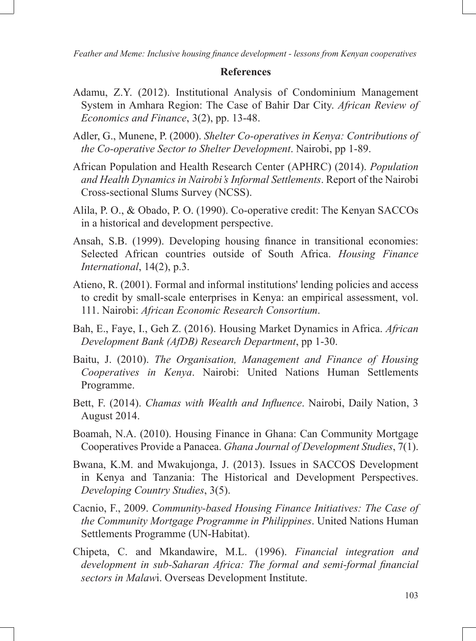## **References**

- Adamu, Z.Y. (2012). Institutional Analysis of Condominium Management System in Amhara Region: The Case of Bahir Dar City. *African Review of Economics and Finance*, 3(2), pp. 13-48.
- Adler, G., Munene, P. (2000). *Shelter Co-operatives in Kenya: Contributions of the Co-operative Sector to Shelter Development*. Nairobi, pp 1-89.
- African Population and Health Research Center (APHRC) (2014). *Population and Health Dynamics in Nairobi's Informal Settlements*. Report of the Nairobi Cross-sectional Slums Survey (NCSS).
- Alila, P. O., & Obado, P. O. (1990). Co-operative credit: The Kenyan SACCOs in a historical and development perspective.
- Ansah, S.B. (1999). Developing housing finance in transitional economies: Selected African countries outside of South Africa. *Housing Finance International*, 14(2), p.3.
- Atieno, R. (2001). Formal and informal institutions' lending policies and access to credit by small-scale enterprises in Kenya: an empirical assessment, vol. 111. Nairobi: *African Economic Research Consortium*.
- Bah, E., Faye, I., Geh Z. (2016). Housing Market Dynamics in Africa. *African Development Bank (AfDB) Research Department*, pp 1-30.
- Baitu, J. (2010). *The Organisation, Management and Finance of Housing Cooperatives in Kenya*. Nairobi: United Nations Human Settlements Programme.
- Bett, F. (2014). *Chamas with Wealth and Influence*. Nairobi, Daily Nation, 3 August 2014.
- Boamah, N.A. (2010). Housing Finance in Ghana: Can Community Mortgage Cooperatives Provide a Panacea. *Ghana Journal of Development Studies*, 7(1).
- Bwana, K.M. and Mwakujonga, J. (2013). Issues in SACCOS Development in Kenya and Tanzania: The Historical and Development Perspectives. *Developing Country Studies*, 3(5).
- Cacnio, F., 2009. *Community-based Housing Finance Initiatives: The Case of the Community Mortgage Programme in Philippines*. United Nations Human Settlements Programme (UN-Habitat).
- Chipeta, C. and Mkandawire, M.L. (1996). *Financial integration and development in sub-Saharan Africa: The formal and semi-formal financial sectors in Malaw*i. Overseas Development Institute.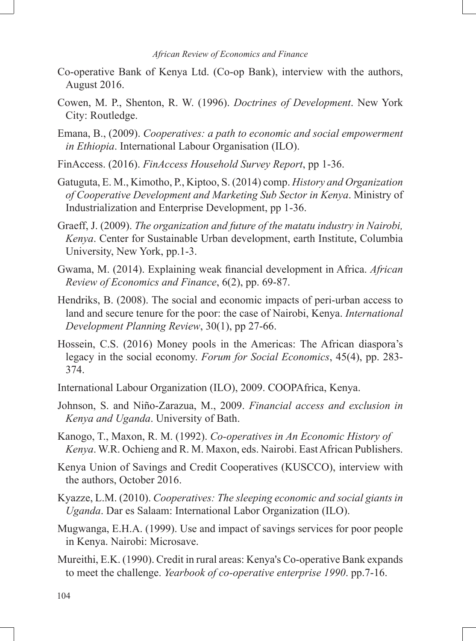- Co-operative Bank of Kenya Ltd. (Co-op Bank), interview with the authors, August 2016.
- Cowen, M. P., Shenton, R. W. (1996). *Doctrines of Development*. New York City: Routledge.
- Emana, B., (2009). *Cooperatives: a path to economic and social empowerment in Ethiopia*. International Labour Organisation (ILO).
- FinAccess. (2016). *FinAccess Household Survey Report*, pp 1-36.
- Gatuguta, E. M., Kimotho, P., Kiptoo, S. (2014) comp. *History and Organization of Cooperative Development and Marketing Sub Sector in Kenya*. Ministry of Industrialization and Enterprise Development, pp 1-36.
- Graeff, J. (2009). *The organization and future of the matatu industry in Nairobi, Kenya*. Center for Sustainable Urban development, earth Institute, Columbia University, New York, pp.1-3.
- Gwama, M. (2014). Explaining weak financial development in Africa. *African Review of Economics and Finance*, 6(2), pp. 69-87.
- Hendriks, B. (2008). The social and economic impacts of peri-urban access to land and secure tenure for the poor: the case of Nairobi, Kenya. *International Development Planning Review*, 30(1), pp 27-66.
- Hossein, C.S. (2016) Money pools in the Americas: The African diaspora's legacy in the social economy. *Forum for Social Economics*, 45(4), pp. 283- 374.
- International Labour Organization (ILO), 2009. COOPAfrica, Kenya.
- Johnson, S. and Niño-Zarazua, M., 2009. *Financial access and exclusion in Kenya and Uganda*. University of Bath.
- Kanogo, T., Maxon, R. M. (1992). *Co-operatives in An Economic History of Kenya*. W.R. Ochieng and R. M. Maxon, eds. Nairobi. East African Publishers.
- Kenya Union of Savings and Credit Cooperatives (KUSCCO), interview with the authors, October 2016.
- Kyazze, L.M. (2010). *Cooperatives: The sleeping economic and social giants in Uganda*. Dar es Salaam: International Labor Organization (ILO).
- Mugwanga, E.H.A. (1999). Use and impact of savings services for poor people in Kenya. Nairobi: Microsave.
- Mureithi, E.K. (1990). Credit in rural areas: Kenya's Co-operative Bank expands to meet the challenge. *Yearbook of co-operative enterprise 1990*. pp.7-16.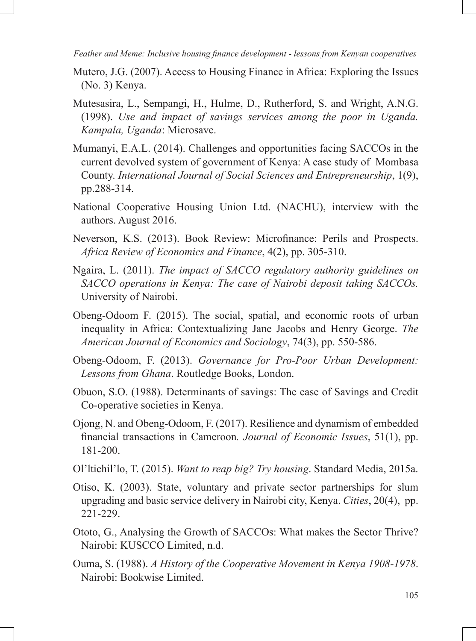- Mutero, J.G. (2007). Access to Housing Finance in Africa: Exploring the Issues (No. 3) Kenya.
- Mutesasira, L., Sempangi, H., Hulme, D., Rutherford, S. and Wright, A.N.G. (1998). *Use and impact of savings services among the poor in Uganda. Kampala, Uganda*: Microsave.
- Mumanyi, E.A.L. (2014). Challenges and opportunities facing SACCOs in the current devolved system of government of Kenya: A case study of Mombasa County. *International Journal of Social Sciences and Entrepreneurship*, 1(9), pp.288-314.
- National Cooperative Housing Union Ltd. (NACHU), interview with the authors. August 2016.
- Neverson, K.S. (2013). Book Review: Microfinance: Perils and Prospects. *Africa Review of Economics and Finance*, 4(2), pp. 305-310.
- Ngaira, L. (2011). *The impact of SACCO regulatory authority guidelines on SACCO operations in Kenya: The case of Nairobi deposit taking SACCOs.* University of Nairobi.
- Obeng-Odoom F. (2015). The social, spatial, and economic roots of urban inequality in Africa: Contextualizing Jane Jacobs and Henry George. *The American Journal of Economics and Sociology*, 74(3), pp. 550-586.
- Obeng-Odoom, F. (2013). *Governance for Pro-Poor Urban Development: Lessons from Ghana*. Routledge Books, London.
- Obuon, S.O. (1988). Determinants of savings: The case of Savings and Credit Co-operative societies in Kenya.
- Ojong, N. and Obeng-Odoom, F. (2017). Resilience and dynamism of embedded financial transactions in Cameroon*. Journal of Economic Issues*, 51(1), pp. 181-200.
- Ol'ltichil'lo, T. (2015). *Want to reap big? Try housing*. Standard Media, 2015a.
- Otiso, K. (2003). State, voluntary and private sector partnerships for slum upgrading and basic service delivery in Nairobi city, Kenya. *Cities*, 20(4), pp. 221-229.
- Ototo, G., Analysing the Growth of SACCOs: What makes the Sector Thrive? Nairobi: KUSCCO Limited, n.d.
- Ouma, S. (1988). *A History of the Cooperative Movement in Kenya 1908-1978*. Nairobi: Bookwise Limited.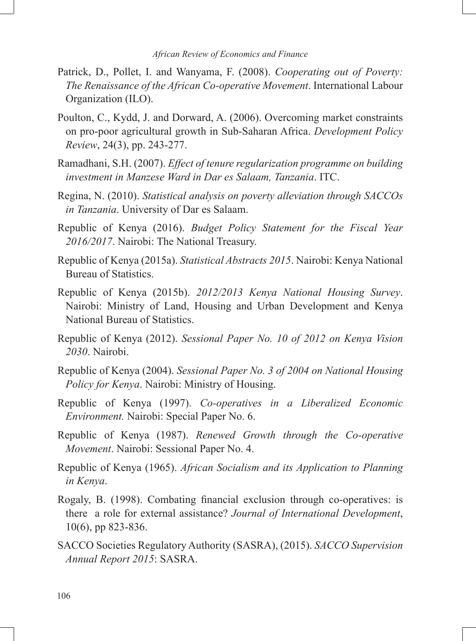- Patrick, D., Pollet, I. and Wanyama, F. (2008). *Cooperating out of Poverty: The Renaissance of the African Co-operative Movement*. International Labour Organization (ILO).
- Poulton, C., Kydd, J. and Dorward, A. (2006). Overcoming market constraints on pro-poor agricultural growth in Sub-Saharan Africa. *Development Policy Review*, 24(3), pp. 243-277.
- Ramadhani, S.H. (2007). *Effect of tenure regularization programme on building investment in Manzese Ward in Dar es Salaam, Tanzania*. ITC.
- Regina, N. (2010). *Statistical analysis on poverty alleviation through SACCOs in Tanzania*. University of Dar es Salaam.
- Republic of Kenya (2016). *Budget Policy Statement for the Fiscal Year 2016/2017*. Nairobi: The National Treasury.
- Republic of Kenya (2015a). *Statistical Abstracts 2015*. Nairobi: Kenya National Bureau of Statistics.
- Republic of Kenya (2015b). *2012/2013 Kenya National Housing Survey*. Nairobi: Ministry of Land, Housing and Urban Development and Kenya National Bureau of Statistics.
- Republic of Kenya (2012). *Sessional Paper No. 10 of 2012 on Kenya Vision 2030*. Nairobi.
- Republic of Kenya (2004). *Sessional Paper No. 3 of 2004 on National Housing Policy for Kenya*. Nairobi: Ministry of Housing.
- Republic of Kenya (1997). *Co-operatives in a Liberalized Economic Environment.* Nairobi: Special Paper No. 6.
- Republic of Kenya (1987). *Renewed Growth through the Co-operative Movement*. Nairobi: Sessional Paper No. 4.
- Republic of Kenya (1965). *African Socialism and its Application to Planning in Kenya*.
- Rogaly, B. (1998). Combating financial exclusion through co-operatives: is there a role for external assistance? *Journal of International Development*, 10(6), pp 823-836.
- SACCO Societies Regulatory Authority (SASRA), (2015). *SACCO Supervision Annual Report 2015*: SASRA.